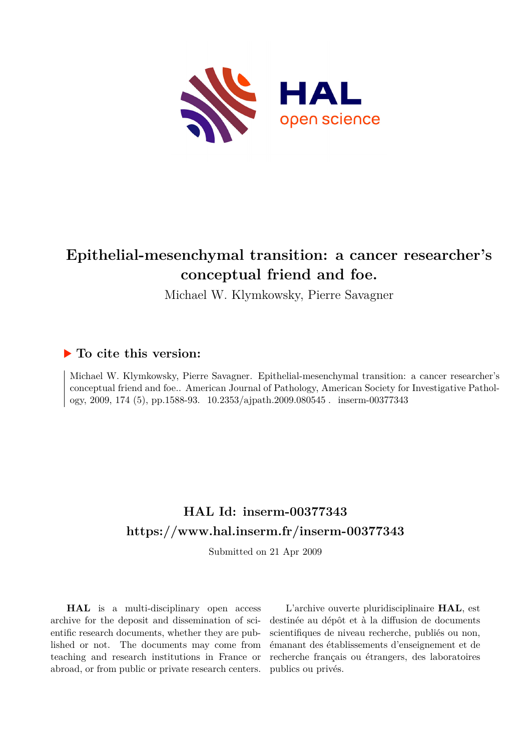

# **Epithelial-mesenchymal transition: a cancer researcher's conceptual friend and foe.**

Michael W. Klymkowsky, Pierre Savagner

### **To cite this version:**

Michael W. Klymkowsky, Pierre Savagner. Epithelial-mesenchymal transition: a cancer researcher's conceptual friend and foe.. American Journal of Pathology, American Society for Investigative Pathology, 2009, 174 (5), pp.1588-93. 10.2353/ajpath.2009.080545. inserm-00377343

## **HAL Id: inserm-00377343 <https://www.hal.inserm.fr/inserm-00377343>**

Submitted on 21 Apr 2009

**HAL** is a multi-disciplinary open access archive for the deposit and dissemination of scientific research documents, whether they are published or not. The documents may come from teaching and research institutions in France or abroad, or from public or private research centers.

L'archive ouverte pluridisciplinaire **HAL**, est destinée au dépôt et à la diffusion de documents scientifiques de niveau recherche, publiés ou non, émanant des établissements d'enseignement et de recherche français ou étrangers, des laboratoires publics ou privés.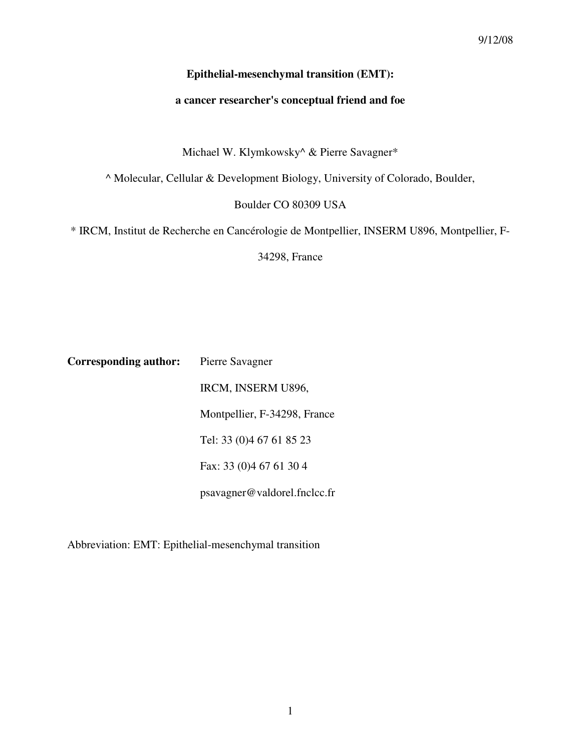#### **Epithelial-mesenchymal transition (EMT):**

#### **a cancer researcher's conceptual friend and foe**

Michael W. Klymkowsky^ & Pierre Savagner\*

^ Molecular, Cellular & Development Biology, University of Colorado, Boulder,

Boulder CO 80309 USA

\* IRCM, Institut de Recherche en Cancérologie de Montpellier, INSERM U896, Montpellier, F-

34298, France

**Corresponding author:** Pierre Savagner IRCM, INSERM U896, Montpellier, F-34298, France Tel: 33 (0)4 67 61 85 23 Fax: 33 (0)4 67 61 30 4 psavagner@valdorel.fnclcc.fr

Abbreviation: EMT: Epithelial-mesenchymal transition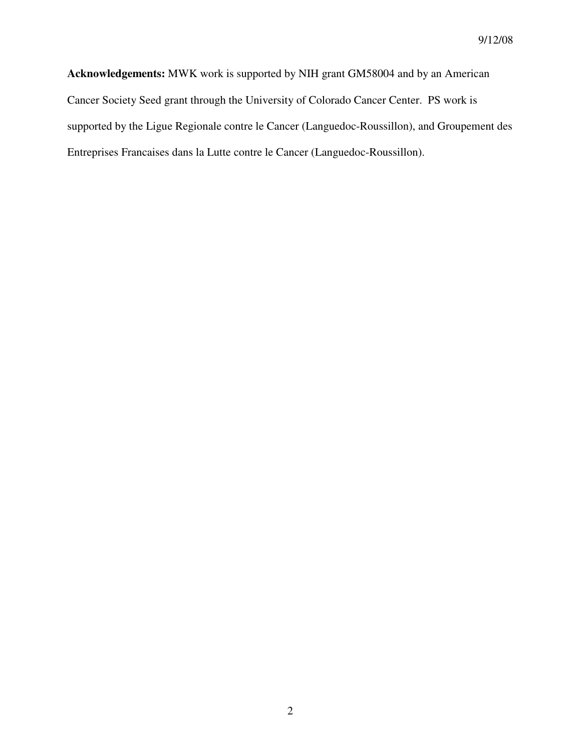**Acknowledgements:** MWK work is supported by NIH grant GM58004 and by an American Cancer Society Seed grant through the University of Colorado Cancer Center. PS work is supported by the Ligue Regionale contre le Cancer (Languedoc-Roussillon), and Groupement des Entreprises Francaises dans la Lutte contre le Cancer (Languedoc-Roussillon).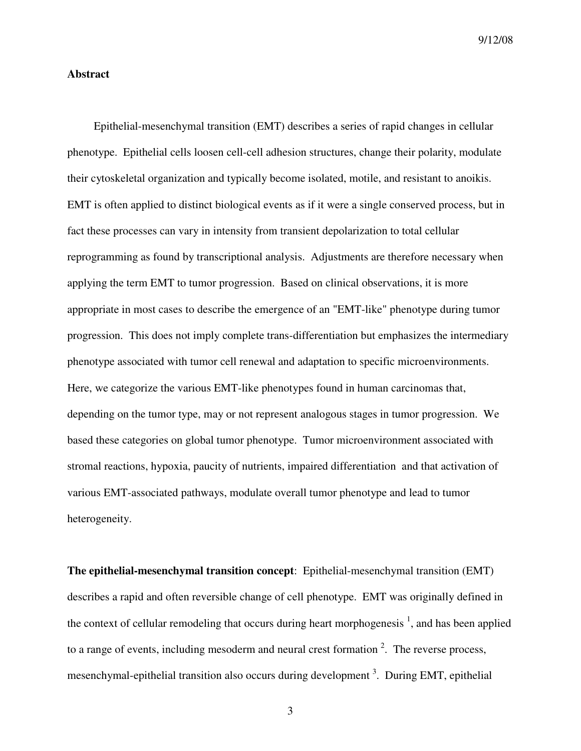9/12/08

#### **Abstract**

 Epithelial-mesenchymal transition (EMT) describes a series of rapid changes in cellular phenotype. Epithelial cells loosen cell-cell adhesion structures, change their polarity, modulate their cytoskeletal organization and typically become isolated, motile, and resistant to anoikis. EMT is often applied to distinct biological events as if it were a single conserved process, but in fact these processes can vary in intensity from transient depolarization to total cellular reprogramming as found by transcriptional analysis. Adjustments are therefore necessary when applying the term EMT to tumor progression. Based on clinical observations, it is more appropriate in most cases to describe the emergence of an "EMT-like" phenotype during tumor progression. This does not imply complete trans-differentiation but emphasizes the intermediary phenotype associated with tumor cell renewal and adaptation to specific microenvironments. Here, we categorize the various EMT-like phenotypes found in human carcinomas that, depending on the tumor type, may or not represent analogous stages in tumor progression. We based these categories on global tumor phenotype. Tumor microenvironment associated with stromal reactions, hypoxia, paucity of nutrients, impaired differentiation and that activation of various EMT-associated pathways, modulate overall tumor phenotype and lead to tumor heterogeneity.

**The epithelial-mesenchymal transition concept**: Epithelial-mesenchymal transition (EMT) describes a rapid and often reversible change of cell phenotype. EMT was originally defined in the context of cellular remodeling that occurs during heart morphogenesis  $\frac{1}{2}$ , and has been applied to a range of events, including mesoderm and neural crest formation  $2$ . The reverse process, mesenchymal-epithelial transition also occurs during development<sup>3</sup>. During EMT, epithelial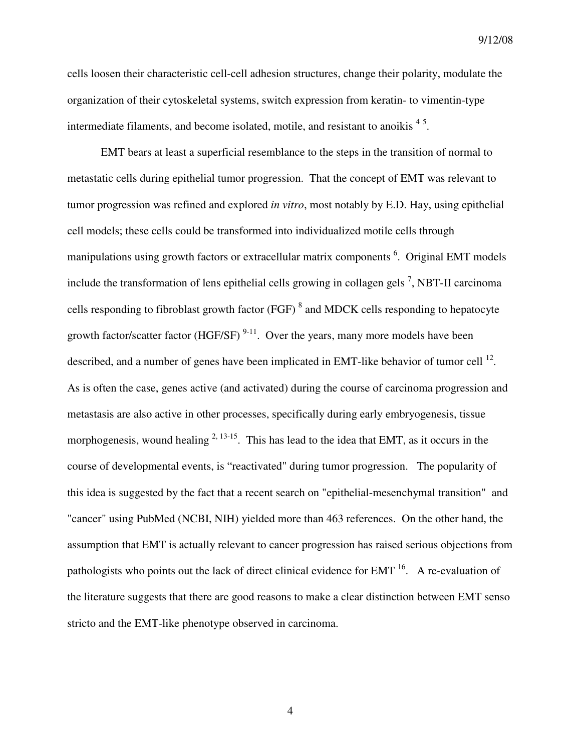cells loosen their characteristic cell-cell adhesion structures, change their polarity, modulate the organization of their cytoskeletal systems, switch expression from keratin- to vimentin-type intermediate filaments, and become isolated, motile, and resistant to anoikis  $4<sup>5</sup>$ .

 EMT bears at least a superficial resemblance to the steps in the transition of normal to metastatic cells during epithelial tumor progression. That the concept of EMT was relevant to tumor progression was refined and explored *in vitro*, most notably by E.D. Hay, using epithelial cell models; these cells could be transformed into individualized motile cells through manipulations using growth factors or extracellular matrix components <sup>6</sup>. Original EMT models include the transformation of lens epithelial cells growing in collagen gels<sup>7</sup>, NBT-II carcinoma cells responding to fibroblast growth factor (FGF)  $^8$  and MDCK cells responding to hepatocyte growth factor/scatter factor (HGF/SF)  $9-11$ . Over the years, many more models have been described, and a number of genes have been implicated in EMT-like behavior of tumor cell  $^{12}$ . As is often the case, genes active (and activated) during the course of carcinoma progression and metastasis are also active in other processes, specifically during early embryogenesis, tissue morphogenesis, wound healing  $^{2, 13-15}$ . This has lead to the idea that EMT, as it occurs in the course of developmental events, is "reactivated" during tumor progression. The popularity of this idea is suggested by the fact that a recent search on "epithelial-mesenchymal transition" and "cancer" using PubMed (NCBI, NIH) yielded more than 463 references. On the other hand, the assumption that EMT is actually relevant to cancer progression has raised serious objections from pathologists who points out the lack of direct clinical evidence for EMT <sup>16</sup>. A re-evaluation of the literature suggests that there are good reasons to make a clear distinction between EMT senso stricto and the EMT-like phenotype observed in carcinoma.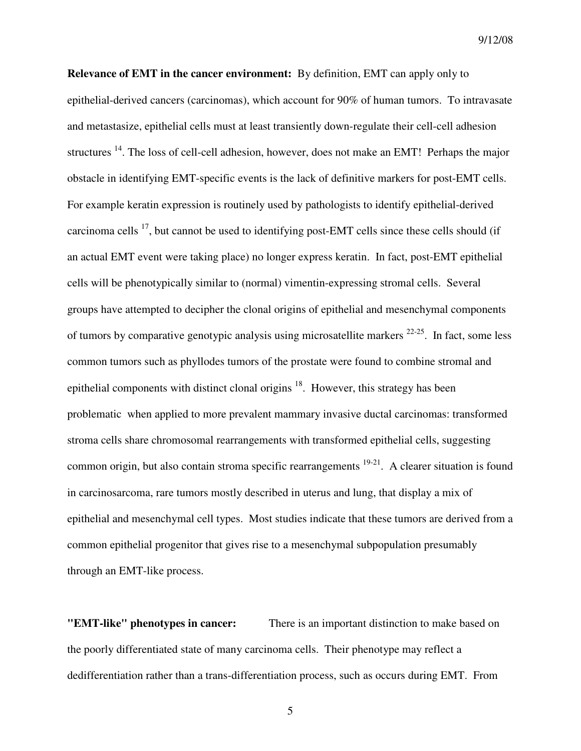**Relevance of EMT in the cancer environment:** By definition, EMT can apply only to epithelial-derived cancers (carcinomas), which account for 90% of human tumors. To intravasate and metastasize, epithelial cells must at least transiently down-regulate their cell-cell adhesion structures <sup>14</sup>. The loss of cell-cell adhesion, however, does not make an EMT! Perhaps the major obstacle in identifying EMT-specific events is the lack of definitive markers for post-EMT cells. For example keratin expression is routinely used by pathologists to identify epithelial-derived carcinoma cells  $^{17}$ , but cannot be used to identifying post-EMT cells since these cells should (if an actual EMT event were taking place) no longer express keratin. In fact, post-EMT epithelial cells will be phenotypically similar to (normal) vimentin-expressing stromal cells. Several groups have attempted to decipher the clonal origins of epithelial and mesenchymal components of tumors by comparative genotypic analysis using microsatellite markers  $22-25$ . In fact, some less common tumors such as phyllodes tumors of the prostate were found to combine stromal and epithelial components with distinct clonal origins  $18$ . However, this strategy has been problematic when applied to more prevalent mammary invasive ductal carcinomas: transformed stroma cells share chromosomal rearrangements with transformed epithelial cells, suggesting common origin, but also contain stroma specific rearrangements  $19-21$ . A clearer situation is found in carcinosarcoma, rare tumors mostly described in uterus and lung, that display a mix of epithelial and mesenchymal cell types. Most studies indicate that these tumors are derived from a common epithelial progenitor that gives rise to a mesenchymal subpopulation presumably through an EMT-like process.

**"EMT-like" phenotypes in cancer:** There is an important distinction to make based on the poorly differentiated state of many carcinoma cells. Their phenotype may reflect a dedifferentiation rather than a trans-differentiation process, such as occurs during EMT. From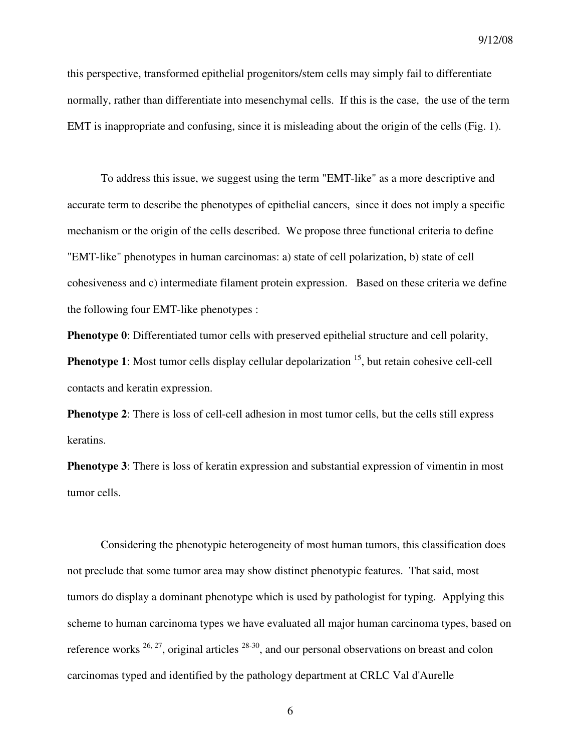9/12/08

this perspective, transformed epithelial progenitors/stem cells may simply fail to differentiate normally, rather than differentiate into mesenchymal cells. If this is the case, the use of the term EMT is inappropriate and confusing, since it is misleading about the origin of the cells (Fig. 1).

 To address this issue, we suggest using the term "EMT-like" as a more descriptive and accurate term to describe the phenotypes of epithelial cancers, since it does not imply a specific mechanism or the origin of the cells described. We propose three functional criteria to define "EMT-like" phenotypes in human carcinomas: a) state of cell polarization, b) state of cell cohesiveness and c) intermediate filament protein expression. Based on these criteria we define the following four EMT-like phenotypes :

**Phenotype 0**: Differentiated tumor cells with preserved epithelial structure and cell polarity, **Phenotype 1**: Most tumor cells display cellular depolarization <sup>15</sup>, but retain cohesive cell-cell contacts and keratin expression.

**Phenotype 2:** There is loss of cell-cell adhesion in most tumor cells, but the cells still express keratins.

**Phenotype 3**: There is loss of keratin expression and substantial expression of vimentin in most tumor cells.

 Considering the phenotypic heterogeneity of most human tumors, this classification does not preclude that some tumor area may show distinct phenotypic features. That said, most tumors do display a dominant phenotype which is used by pathologist for typing. Applying this scheme to human carcinoma types we have evaluated all major human carcinoma types, based on reference works  $^{26, 27}$ , original articles  $^{28-30}$ , and our personal observations on breast and colon carcinomas typed and identified by the pathology department at CRLC Val d'Aurelle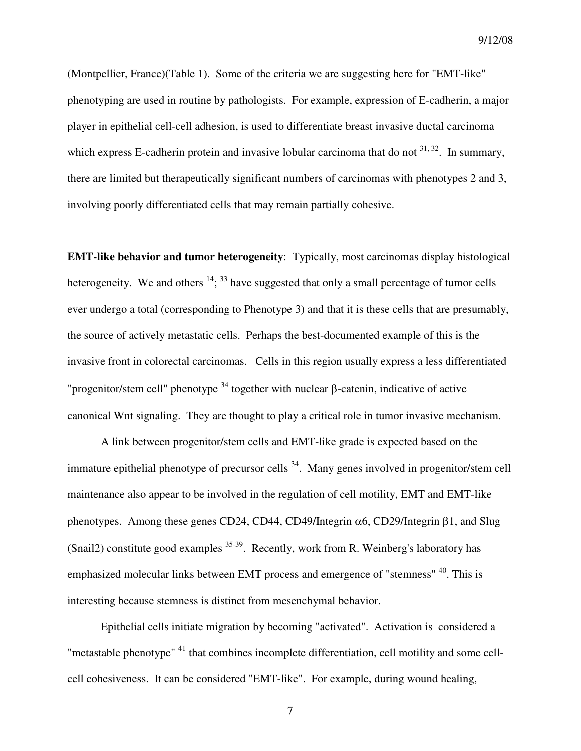9/12/08

(Montpellier, France)(Table 1). Some of the criteria we are suggesting here for "EMT-like" phenotyping are used in routine by pathologists. For example, expression of E-cadherin, a major player in epithelial cell-cell adhesion, is used to differentiate breast invasive ductal carcinoma which express E-cadherin protein and invasive lobular carcinoma that do not  $31, 32$ . In summary, there are limited but therapeutically significant numbers of carcinomas with phenotypes 2 and 3, involving poorly differentiated cells that may remain partially cohesive.

**EMT-like behavior and tumor heterogeneity**: Typically, most carcinomas display histological heterogeneity. We and others  $^{14}$ ;  $^{33}$  have suggested that only a small percentage of tumor cells ever undergo a total (corresponding to Phenotype 3) and that it is these cells that are presumably, the source of actively metastatic cells. Perhaps the best-documented example of this is the invasive front in colorectal carcinomas. Cells in this region usually express a less differentiated "progenitor/stem cell" phenotype  $34$  together with nuclear β-catenin, indicative of active canonical Wnt signaling. They are thought to play a critical role in tumor invasive mechanism.

 A link between progenitor/stem cells and EMT-like grade is expected based on the immature epithelial phenotype of precursor cells  $34$ . Many genes involved in progenitor/stem cell maintenance also appear to be involved in the regulation of cell motility, EMT and EMT-like phenotypes. Among these genes CD24, CD44, CD49/Integrin  $\alpha$ 6, CD29/Integrin β1, and Slug (Snail2) constitute good examples  $35-39$ . Recently, work from R. Weinberg's laboratory has emphasized molecular links between EMT process and emergence of "stemness" <sup>40</sup>. This is interesting because stemness is distinct from mesenchymal behavior.

 Epithelial cells initiate migration by becoming "activated". Activation is considered a "metastable phenotype"<sup>41</sup> that combines incomplete differentiation, cell motility and some cellcell cohesiveness. It can be considered "EMT-like". For example, during wound healing,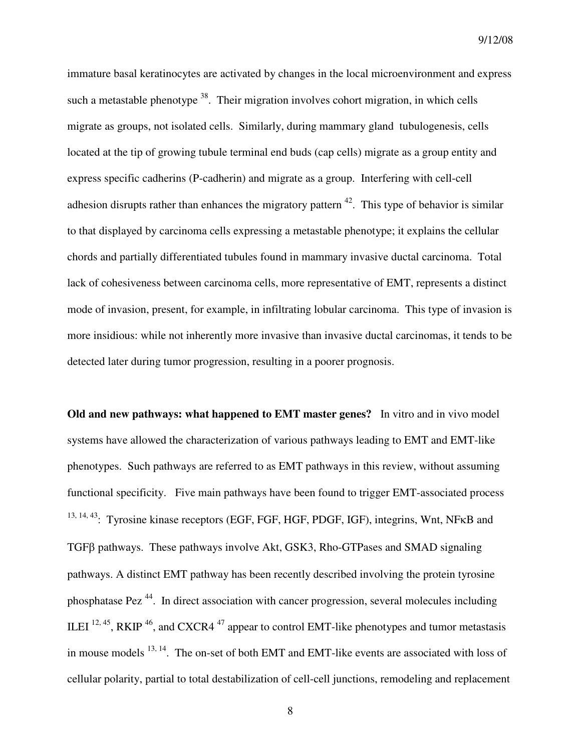immature basal keratinocytes are activated by changes in the local microenvironment and express such a metastable phenotype  $38$ . Their migration involves cohort migration, in which cells migrate as groups, not isolated cells. Similarly, during mammary gland tubulogenesis, cells located at the tip of growing tubule terminal end buds (cap cells) migrate as a group entity and express specific cadherins (P-cadherin) and migrate as a group. Interfering with cell-cell adhesion disrupts rather than enhances the migratory pattern  $42$ . This type of behavior is similar to that displayed by carcinoma cells expressing a metastable phenotype; it explains the cellular chords and partially differentiated tubules found in mammary invasive ductal carcinoma. Total lack of cohesiveness between carcinoma cells, more representative of EMT, represents a distinct mode of invasion, present, for example, in infiltrating lobular carcinoma. This type of invasion is more insidious: while not inherently more invasive than invasive ductal carcinomas, it tends to be detected later during tumor progression, resulting in a poorer prognosis.

**Old and new pathways: what happened to EMT master genes?** In vitro and in vivo model systems have allowed the characterization of various pathways leading to EMT and EMT-like phenotypes. Such pathways are referred to as EMT pathways in this review, without assuming functional specificity. Five main pathways have been found to trigger EMT-associated process 13, 14, 43: Tyrosine kinase receptors (EGF, FGF, HGF, PDGF, IGF), integrins, Wnt, NFKB and TGFβ pathways. These pathways involve Akt, GSK3, Rho-GTPases and SMAD signaling pathways. A distinct EMT pathway has been recently described involving the protein tyrosine phosphatase Pez<sup> $44$ </sup>. In direct association with cancer progression, several molecules including ILEI  $^{12, 45}$ , RKIP  $^{46}$ , and CXCR4  $^{47}$  appear to control EMT-like phenotypes and tumor metastasis in mouse models  $^{13, 14}$ . The on-set of both EMT and EMT-like events are associated with loss of cellular polarity, partial to total destabilization of cell-cell junctions, remodeling and replacement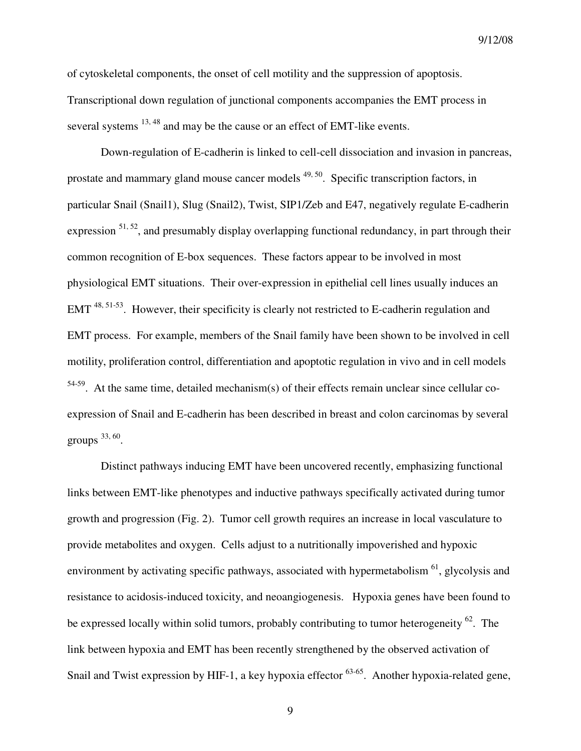of cytoskeletal components, the onset of cell motility and the suppression of apoptosis. Transcriptional down regulation of junctional components accompanies the EMT process in several systems <sup>13, 48</sup> and may be the cause or an effect of EMT-like events.

 Down-regulation of E-cadherin is linked to cell-cell dissociation and invasion in pancreas, prostate and mammary gland mouse cancer models <sup>49, 50</sup>. Specific transcription factors, in particular Snail (Snail1), Slug (Snail2), Twist, SIP1/Zeb and E47, negatively regulate E-cadherin expression  $51, 52$ , and presumably display overlapping functional redundancy, in part through their common recognition of E-box sequences. These factors appear to be involved in most physiological EMT situations. Their over-expression in epithelial cell lines usually induces an EMT<sup>48, 51-53</sup>. However, their specificity is clearly not restricted to E-cadherin regulation and EMT process. For example, members of the Snail family have been shown to be involved in cell motility, proliferation control, differentiation and apoptotic regulation in vivo and in cell models  $54-59$ . At the same time, detailed mechanism(s) of their effects remain unclear since cellular coexpression of Snail and E-cadherin has been described in breast and colon carcinomas by several groups  $33,60$ .

 Distinct pathways inducing EMT have been uncovered recently, emphasizing functional links between EMT-like phenotypes and inductive pathways specifically activated during tumor growth and progression (Fig. 2). Tumor cell growth requires an increase in local vasculature to provide metabolites and oxygen. Cells adjust to a nutritionally impoverished and hypoxic environment by activating specific pathways, associated with hypermetabolism <sup>61</sup>, glycolysis and resistance to acidosis-induced toxicity, and neoangiogenesis. Hypoxia genes have been found to be expressed locally within solid tumors, probably contributing to tumor heterogeneity <sup>62</sup>. The link between hypoxia and EMT has been recently strengthened by the observed activation of Snail and Twist expression by HIF-1, a key hypoxia effector <sup>63-65</sup>. Another hypoxia-related gene,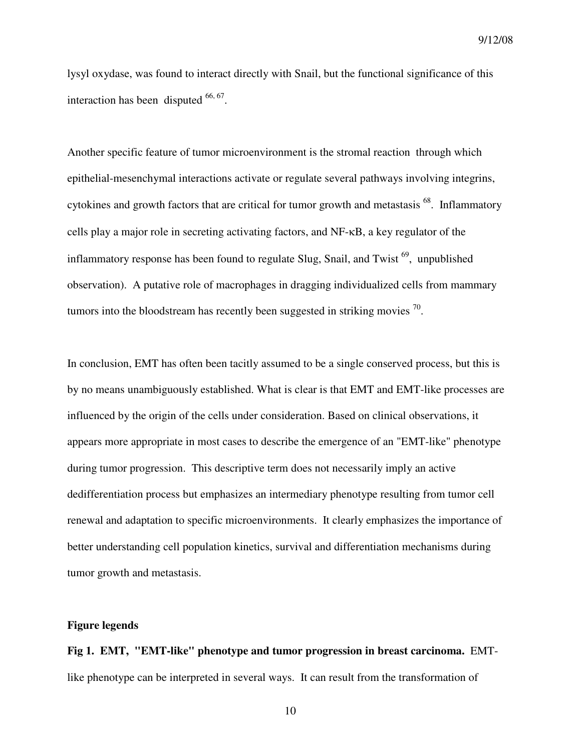lysyl oxydase, was found to interact directly with Snail, but the functional significance of this interaction has been disputed  $66, 67$ .

Another specific feature of tumor microenvironment is the stromal reaction through which epithelial-mesenchymal interactions activate or regulate several pathways involving integrins, cytokines and growth factors that are critical for tumor growth and metastasis  $^{68}$ . Inflammatory cells play a major role in secreting activating factors, and NF-κB, a key regulator of the inflammatory response has been found to regulate Slug, Snail, and Twist  $^{69}$ , unpublished observation). A putative role of macrophages in dragging individualized cells from mammary tumors into the bloodstream has recently been suggested in striking movies  $^{70}$ .

In conclusion, EMT has often been tacitly assumed to be a single conserved process, but this is by no means unambiguously established. What is clear is that EMT and EMT-like processes are influenced by the origin of the cells under consideration. Based on clinical observations, it appears more appropriate in most cases to describe the emergence of an "EMT-like" phenotype during tumor progression. This descriptive term does not necessarily imply an active dedifferentiation process but emphasizes an intermediary phenotype resulting from tumor cell renewal and adaptation to specific microenvironments. It clearly emphasizes the importance of better understanding cell population kinetics, survival and differentiation mechanisms during tumor growth and metastasis.

#### **Figure legends**

**Fig 1. EMT, "EMT-like" phenotype and tumor progression in breast carcinoma.** EMTlike phenotype can be interpreted in several ways. It can result from the transformation of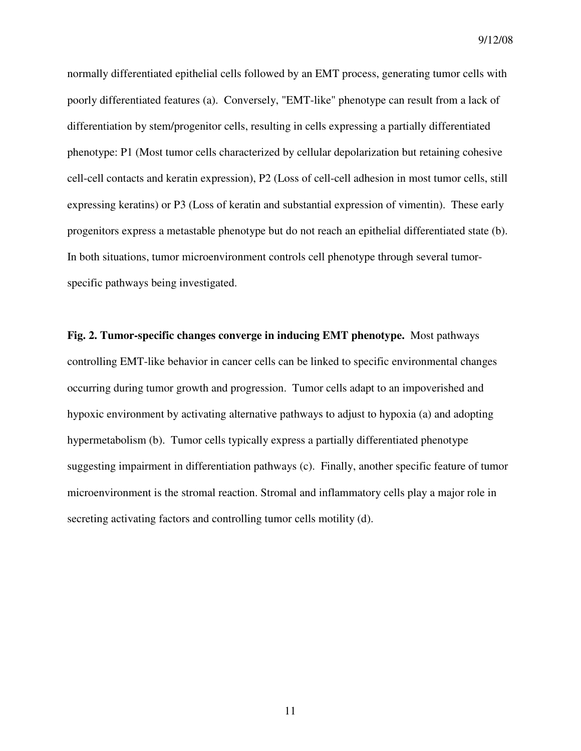9/12/08

normally differentiated epithelial cells followed by an EMT process, generating tumor cells with poorly differentiated features (a). Conversely, "EMT-like" phenotype can result from a lack of differentiation by stem/progenitor cells, resulting in cells expressing a partially differentiated phenotype: P1 (Most tumor cells characterized by cellular depolarization but retaining cohesive cell-cell contacts and keratin expression), P2 (Loss of cell-cell adhesion in most tumor cells, still expressing keratins) or P3 (Loss of keratin and substantial expression of vimentin). These early progenitors express a metastable phenotype but do not reach an epithelial differentiated state (b). In both situations, tumor microenvironment controls cell phenotype through several tumorspecific pathways being investigated.

**Fig. 2. Tumor-specific changes converge in inducing EMT phenotype.** Most pathways controlling EMT-like behavior in cancer cells can be linked to specific environmental changes occurring during tumor growth and progression. Tumor cells adapt to an impoverished and hypoxic environment by activating alternative pathways to adjust to hypoxia (a) and adopting hypermetabolism (b). Tumor cells typically express a partially differentiated phenotype suggesting impairment in differentiation pathways (c). Finally, another specific feature of tumor microenvironment is the stromal reaction. Stromal and inflammatory cells play a major role in secreting activating factors and controlling tumor cells motility (d).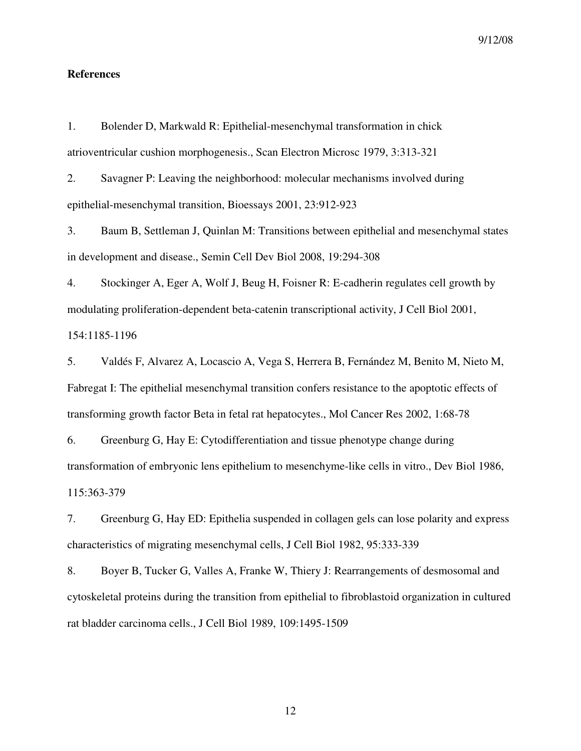#### **References**

1. Bolender D, Markwald R: Epithelial-mesenchymal transformation in chick atrioventricular cushion morphogenesis., Scan Electron Microsc 1979, 3:313-321

2. Savagner P: Leaving the neighborhood: molecular mechanisms involved during epithelial-mesenchymal transition, Bioessays 2001, 23:912-923

3. Baum B, Settleman J, Quinlan M: Transitions between epithelial and mesenchymal states in development and disease., Semin Cell Dev Biol 2008, 19:294-308

4. Stockinger A, Eger A, Wolf J, Beug H, Foisner R: E-cadherin regulates cell growth by modulating proliferation-dependent beta-catenin transcriptional activity, J Cell Biol 2001, 154:1185-1196

5. Valdés F, Alvarez A, Locascio A, Vega S, Herrera B, Fernández M, Benito M, Nieto M, Fabregat I: The epithelial mesenchymal transition confers resistance to the apoptotic effects of transforming growth factor Beta in fetal rat hepatocytes., Mol Cancer Res 2002, 1:68-78

6. Greenburg G, Hay E: Cytodifferentiation and tissue phenotype change during transformation of embryonic lens epithelium to mesenchyme-like cells in vitro., Dev Biol 1986, 115:363-379

7. Greenburg G, Hay ED: Epithelia suspended in collagen gels can lose polarity and express characteristics of migrating mesenchymal cells, J Cell Biol 1982, 95:333-339

8. Boyer B, Tucker G, Valles A, Franke W, Thiery J: Rearrangements of desmosomal and cytoskeletal proteins during the transition from epithelial to fibroblastoid organization in cultured rat bladder carcinoma cells., J Cell Biol 1989, 109:1495-1509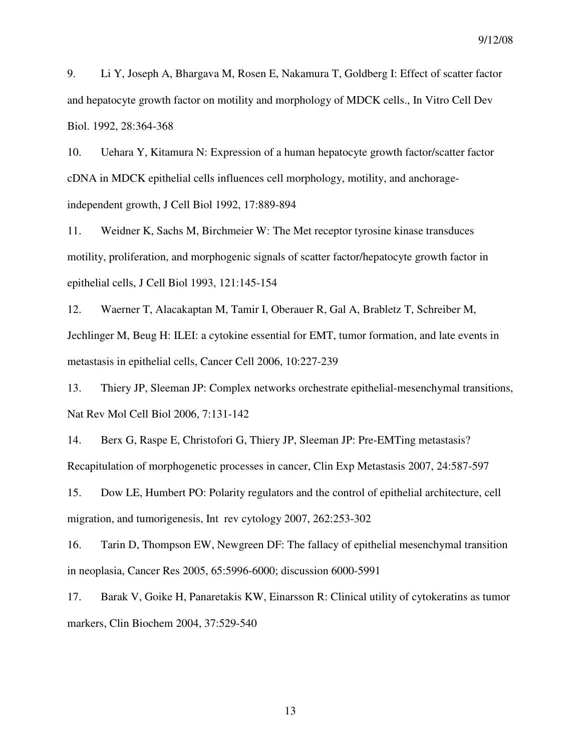9. Li Y, Joseph A, Bhargava M, Rosen E, Nakamura T, Goldberg I: Effect of scatter factor and hepatocyte growth factor on motility and morphology of MDCK cells., In Vitro Cell Dev Biol. 1992, 28:364-368

10. Uehara Y, Kitamura N: Expression of a human hepatocyte growth factor/scatter factor cDNA in MDCK epithelial cells influences cell morphology, motility, and anchorageindependent growth, J Cell Biol 1992, 17:889-894

11. Weidner K, Sachs M, Birchmeier W: The Met receptor tyrosine kinase transduces motility, proliferation, and morphogenic signals of scatter factor/hepatocyte growth factor in epithelial cells, J Cell Biol 1993, 121:145-154

12. Waerner T, Alacakaptan M, Tamir I, Oberauer R, Gal A, Brabletz T, Schreiber M, Jechlinger M, Beug H: ILEI: a cytokine essential for EMT, tumor formation, and late events in metastasis in epithelial cells, Cancer Cell 2006, 10:227-239

13. Thiery JP, Sleeman JP: Complex networks orchestrate epithelial-mesenchymal transitions, Nat Rev Mol Cell Biol 2006, 7:131-142

14. Berx G, Raspe E, Christofori G, Thiery JP, Sleeman JP: Pre-EMTing metastasis? Recapitulation of morphogenetic processes in cancer, Clin Exp Metastasis 2007, 24:587-597

15. Dow LE, Humbert PO: Polarity regulators and the control of epithelial architecture, cell migration, and tumorigenesis, Int rev cytology 2007, 262:253-302

16. Tarin D, Thompson EW, Newgreen DF: The fallacy of epithelial mesenchymal transition in neoplasia, Cancer Res 2005, 65:5996-6000; discussion 6000-5991

17. Barak V, Goike H, Panaretakis KW, Einarsson R: Clinical utility of cytokeratins as tumor markers, Clin Biochem 2004, 37:529-540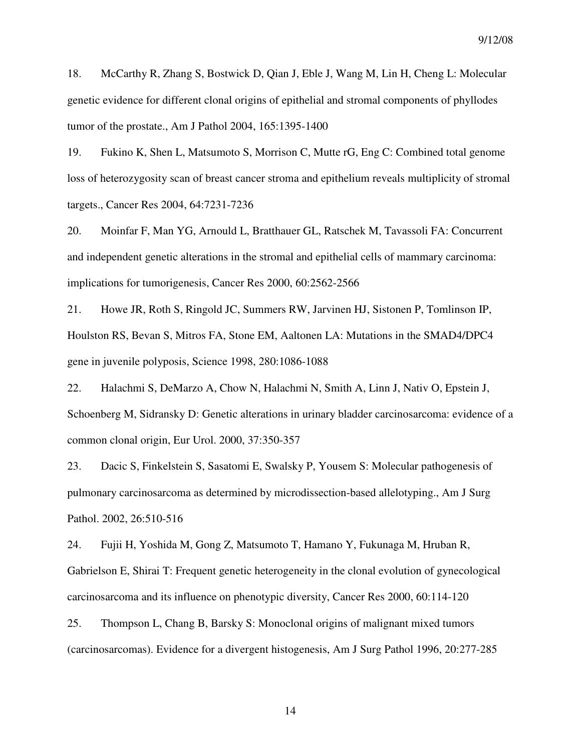18. McCarthy R, Zhang S, Bostwick D, Qian J, Eble J, Wang M, Lin H, Cheng L: Molecular genetic evidence for different clonal origins of epithelial and stromal components of phyllodes tumor of the prostate., Am J Pathol 2004, 165:1395-1400

19. Fukino K, Shen L, Matsumoto S, Morrison C, Mutte rG, Eng C: Combined total genome loss of heterozygosity scan of breast cancer stroma and epithelium reveals multiplicity of stromal targets., Cancer Res 2004, 64:7231-7236

20. Moinfar F, Man YG, Arnould L, Bratthauer GL, Ratschek M, Tavassoli FA: Concurrent and independent genetic alterations in the stromal and epithelial cells of mammary carcinoma: implications for tumorigenesis, Cancer Res 2000, 60:2562-2566

21. Howe JR, Roth S, Ringold JC, Summers RW, Jarvinen HJ, Sistonen P, Tomlinson IP, Houlston RS, Bevan S, Mitros FA, Stone EM, Aaltonen LA: Mutations in the SMAD4/DPC4 gene in juvenile polyposis, Science 1998, 280:1086-1088

22. Halachmi S, DeMarzo A, Chow N, Halachmi N, Smith A, Linn J, Nativ O, Epstein J, Schoenberg M, Sidransky D: Genetic alterations in urinary bladder carcinosarcoma: evidence of a common clonal origin, Eur Urol. 2000, 37:350-357

23. Dacic S, Finkelstein S, Sasatomi E, Swalsky P, Yousem S: Molecular pathogenesis of pulmonary carcinosarcoma as determined by microdissection-based allelotyping., Am J Surg Pathol. 2002, 26:510-516

24. Fujii H, Yoshida M, Gong Z, Matsumoto T, Hamano Y, Fukunaga M, Hruban R, Gabrielson E, Shirai T: Frequent genetic heterogeneity in the clonal evolution of gynecological carcinosarcoma and its influence on phenotypic diversity, Cancer Res 2000, 60:114-120

25. Thompson L, Chang B, Barsky S: Monoclonal origins of malignant mixed tumors (carcinosarcomas). Evidence for a divergent histogenesis, Am J Surg Pathol 1996, 20:277-285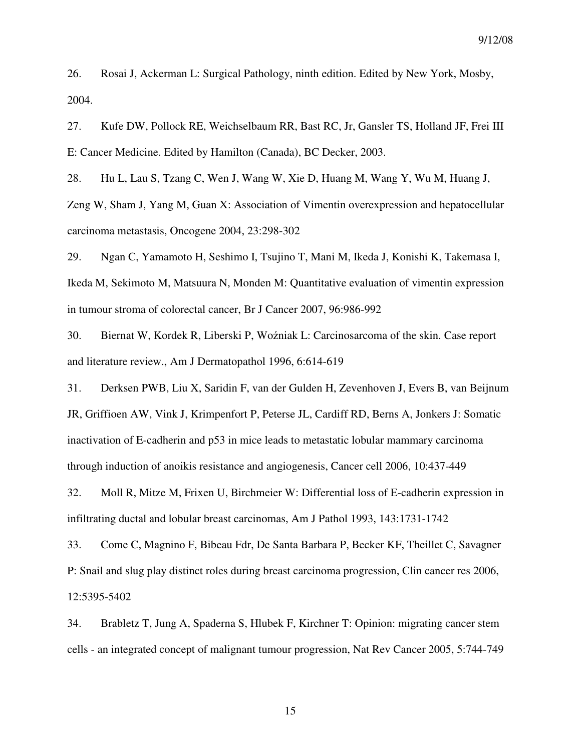26. Rosai J, Ackerman L: Surgical Pathology, ninth edition. Edited by New York, Mosby, 2004.

27. Kufe DW, Pollock RE, Weichselbaum RR, Bast RC, Jr, Gansler TS, Holland JF, Frei III E: Cancer Medicine. Edited by Hamilton (Canada), BC Decker, 2003.

28. Hu L, Lau S, Tzang C, Wen J, Wang W, Xie D, Huang M, Wang Y, Wu M, Huang J,

Zeng W, Sham J, Yang M, Guan X: Association of Vimentin overexpression and hepatocellular carcinoma metastasis, Oncogene 2004, 23:298-302

29. Ngan C, Yamamoto H, Seshimo I, Tsujino T, Mani M, Ikeda J, Konishi K, Takemasa I, Ikeda M, Sekimoto M, Matsuura N, Monden M: Quantitative evaluation of vimentin expression in tumour stroma of colorectal cancer, Br J Cancer 2007, 96:986-992

30. Biernat W, Kordek R, Liberski P, Woźniak L: Carcinosarcoma of the skin. Case report and literature review., Am J Dermatopathol 1996, 6:614-619

31. Derksen PWB, Liu X, Saridin F, van der Gulden H, Zevenhoven J, Evers B, van Beijnum JR, Griffioen AW, Vink J, Krimpenfort P, Peterse JL, Cardiff RD, Berns A, Jonkers J: Somatic inactivation of E-cadherin and p53 in mice leads to metastatic lobular mammary carcinoma through induction of anoikis resistance and angiogenesis, Cancer cell 2006, 10:437-449

32. Moll R, Mitze M, Frixen U, Birchmeier W: Differential loss of E-cadherin expression in infiltrating ductal and lobular breast carcinomas, Am J Pathol 1993, 143:1731-1742

33. Come C, Magnino F, Bibeau Fdr, De Santa Barbara P, Becker KF, Theillet C, Savagner P: Snail and slug play distinct roles during breast carcinoma progression, Clin cancer res 2006, 12:5395-5402

34. Brabletz T, Jung A, Spaderna S, Hlubek F, Kirchner T: Opinion: migrating cancer stem cells - an integrated concept of malignant tumour progression, Nat Rev Cancer 2005, 5:744-749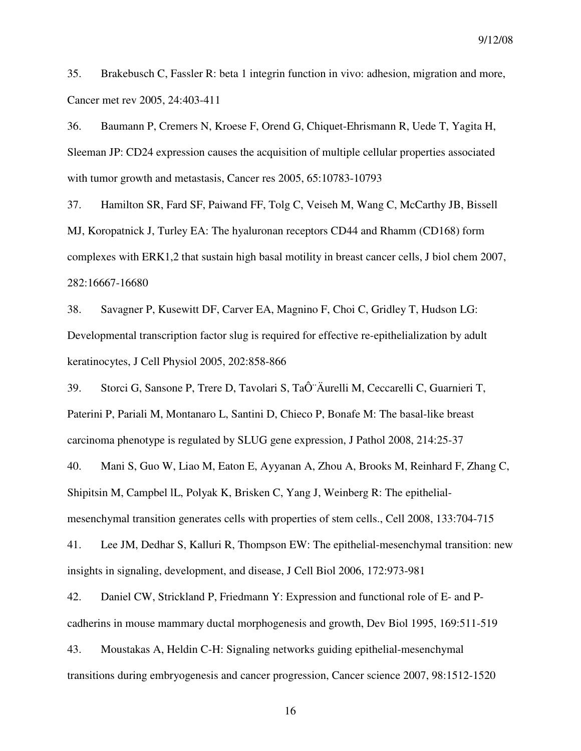35. Brakebusch C, Fassler R: beta 1 integrin function in vivo: adhesion, migration and more, Cancer met rev 2005, 24:403-411

36. Baumann P, Cremers N, Kroese F, Orend G, Chiquet-Ehrismann R, Uede T, Yagita H, Sleeman JP: CD24 expression causes the acquisition of multiple cellular properties associated with tumor growth and metastasis, Cancer res 2005, 65:10783-10793

37. Hamilton SR, Fard SF, Paiwand FF, Tolg C, Veiseh M, Wang C, McCarthy JB, Bissell MJ, Koropatnick J, Turley EA: The hyaluronan receptors CD44 and Rhamm (CD168) form complexes with ERK1,2 that sustain high basal motility in breast cancer cells, J biol chem 2007, 282:16667-16680

38. Savagner P, Kusewitt DF, Carver EA, Magnino F, Choi C, Gridley T, Hudson LG: Developmental transcription factor slug is required for effective re-epithelialization by adult keratinocytes, J Cell Physiol 2005, 202:858-866

39. Storci G, Sansone P, Trere D, Tavolari S, TaÔ Äurelli M, Ceccarelli C, Guarnieri T, Paterini P, Pariali M, Montanaro L, Santini D, Chieco P, Bonafe M: The basal-like breast carcinoma phenotype is regulated by SLUG gene expression, J Pathol 2008, 214:25-37

40. Mani S, Guo W, Liao M, Eaton E, Ayyanan A, Zhou A, Brooks M, Reinhard F, Zhang C, Shipitsin M, Campbel lL, Polyak K, Brisken C, Yang J, Weinberg R: The epithelialmesenchymal transition generates cells with properties of stem cells., Cell 2008, 133:704-715

41. Lee JM, Dedhar S, Kalluri R, Thompson EW: The epithelial-mesenchymal transition: new insights in signaling, development, and disease, J Cell Biol 2006, 172:973-981

42. Daniel CW, Strickland P, Friedmann Y: Expression and functional role of E- and Pcadherins in mouse mammary ductal morphogenesis and growth, Dev Biol 1995, 169:511-519

43. Moustakas A, Heldin C-H: Signaling networks guiding epithelial-mesenchymal transitions during embryogenesis and cancer progression, Cancer science 2007, 98:1512-1520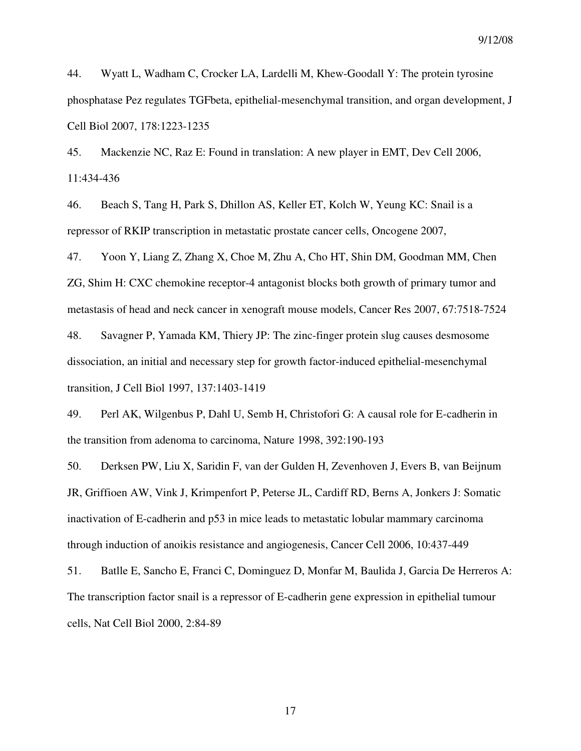44. Wyatt L, Wadham C, Crocker LA, Lardelli M, Khew-Goodall Y: The protein tyrosine phosphatase Pez regulates TGFbeta, epithelial-mesenchymal transition, and organ development, J Cell Biol 2007, 178:1223-1235

45. Mackenzie NC, Raz E: Found in translation: A new player in EMT, Dev Cell 2006, 11:434-436

46. Beach S, Tang H, Park S, Dhillon AS, Keller ET, Kolch W, Yeung KC: Snail is a repressor of RKIP transcription in metastatic prostate cancer cells, Oncogene 2007,

47. Yoon Y, Liang Z, Zhang X, Choe M, Zhu A, Cho HT, Shin DM, Goodman MM, Chen ZG, Shim H: CXC chemokine receptor-4 antagonist blocks both growth of primary tumor and metastasis of head and neck cancer in xenograft mouse models, Cancer Res 2007, 67:7518-7524

48. Savagner P, Yamada KM, Thiery JP: The zinc-finger protein slug causes desmosome dissociation, an initial and necessary step for growth factor-induced epithelial-mesenchymal transition, J Cell Biol 1997, 137:1403-1419

49. Perl AK, Wilgenbus P, Dahl U, Semb H, Christofori G: A causal role for E-cadherin in the transition from adenoma to carcinoma, Nature 1998, 392:190-193

50. Derksen PW, Liu X, Saridin F, van der Gulden H, Zevenhoven J, Evers B, van Beijnum JR, Griffioen AW, Vink J, Krimpenfort P, Peterse JL, Cardiff RD, Berns A, Jonkers J: Somatic inactivation of E-cadherin and p53 in mice leads to metastatic lobular mammary carcinoma through induction of anoikis resistance and angiogenesis, Cancer Cell 2006, 10:437-449

51. Batlle E, Sancho E, Franci C, Dominguez D, Monfar M, Baulida J, Garcia De Herreros A: The transcription factor snail is a repressor of E-cadherin gene expression in epithelial tumour cells, Nat Cell Biol 2000, 2:84-89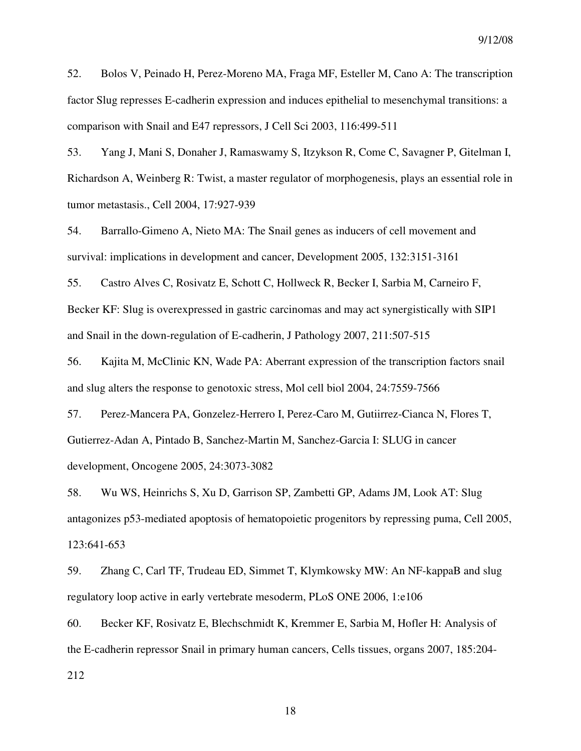52. Bolos V, Peinado H, Perez-Moreno MA, Fraga MF, Esteller M, Cano A: The transcription factor Slug represses E-cadherin expression and induces epithelial to mesenchymal transitions: a comparison with Snail and E47 repressors, J Cell Sci 2003, 116:499-511

53. Yang J, Mani S, Donaher J, Ramaswamy S, Itzykson R, Come C, Savagner P, Gitelman I, Richardson A, Weinberg R: Twist, a master regulator of morphogenesis, plays an essential role in tumor metastasis., Cell 2004, 17:927-939

54. Barrallo-Gimeno A, Nieto MA: The Snail genes as inducers of cell movement and survival: implications in development and cancer, Development 2005, 132:3151-3161

55. Castro Alves C, Rosivatz E, Schott C, Hollweck R, Becker I, Sarbia M, Carneiro F, Becker KF: Slug is overexpressed in gastric carcinomas and may act synergistically with SIP1 and Snail in the down-regulation of E-cadherin, J Pathology 2007, 211:507-515

56. Kajita M, McClinic KN, Wade PA: Aberrant expression of the transcription factors snail and slug alters the response to genotoxic stress, Mol cell biol 2004, 24:7559-7566

57. Perez-Mancera PA, Gonzelez-Herrero I, Perez-Caro M, Gutiirrez-Cianca N, Flores T, Gutierrez-Adan A, Pintado B, Sanchez-Martin M, Sanchez-Garcia I: SLUG in cancer development, Oncogene 2005, 24:3073-3082

58. Wu WS, Heinrichs S, Xu D, Garrison SP, Zambetti GP, Adams JM, Look AT: Slug antagonizes p53-mediated apoptosis of hematopoietic progenitors by repressing puma, Cell 2005, 123:641-653

59. Zhang C, Carl TF, Trudeau ED, Simmet T, Klymkowsky MW: An NF-kappaB and slug regulatory loop active in early vertebrate mesoderm, PLoS ONE 2006, 1:e106

60. Becker KF, Rosivatz E, Blechschmidt K, Kremmer E, Sarbia M, Hofler H: Analysis of the E-cadherin repressor Snail in primary human cancers, Cells tissues, organs 2007, 185:204-

212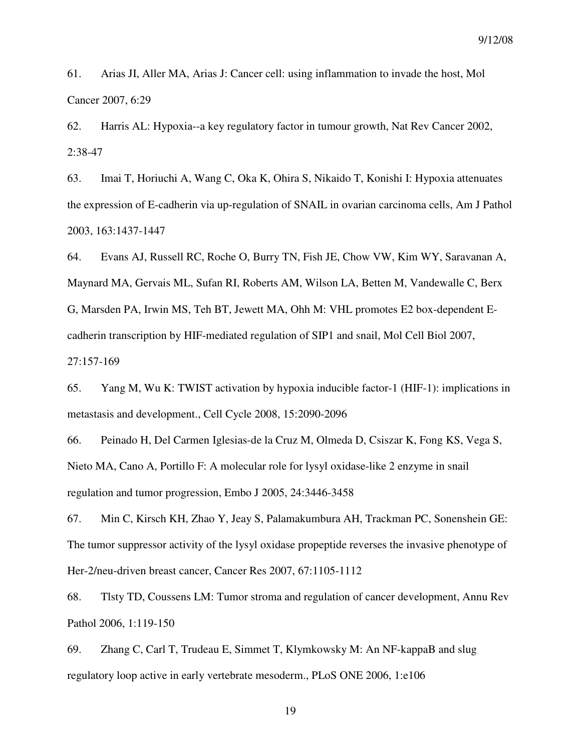61. Arias JI, Aller MA, Arias J: Cancer cell: using inflammation to invade the host, Mol Cancer 2007, 6:29

62. Harris AL: Hypoxia--a key regulatory factor in tumour growth, Nat Rev Cancer 2002, 2:38-47

63. Imai T, Horiuchi A, Wang C, Oka K, Ohira S, Nikaido T, Konishi I: Hypoxia attenuates the expression of E-cadherin via up-regulation of SNAIL in ovarian carcinoma cells, Am J Pathol 2003, 163:1437-1447

64. Evans AJ, Russell RC, Roche O, Burry TN, Fish JE, Chow VW, Kim WY, Saravanan A, Maynard MA, Gervais ML, Sufan RI, Roberts AM, Wilson LA, Betten M, Vandewalle C, Berx G, Marsden PA, Irwin MS, Teh BT, Jewett MA, Ohh M: VHL promotes E2 box-dependent Ecadherin transcription by HIF-mediated regulation of SIP1 and snail, Mol Cell Biol 2007, 27:157-169

65. Yang M, Wu K: TWIST activation by hypoxia inducible factor-1 (HIF-1): implications in metastasis and development., Cell Cycle 2008, 15:2090-2096

66. Peinado H, Del Carmen Iglesias-de la Cruz M, Olmeda D, Csiszar K, Fong KS, Vega S, Nieto MA, Cano A, Portillo F: A molecular role for lysyl oxidase-like 2 enzyme in snail regulation and tumor progression, Embo J 2005, 24:3446-3458

67. Min C, Kirsch KH, Zhao Y, Jeay S, Palamakumbura AH, Trackman PC, Sonenshein GE: The tumor suppressor activity of the lysyl oxidase propeptide reverses the invasive phenotype of Her-2/neu-driven breast cancer, Cancer Res 2007, 67:1105-1112

68. Tlsty TD, Coussens LM: Tumor stroma and regulation of cancer development, Annu Rev Pathol 2006, 1:119-150

69. Zhang C, Carl T, Trudeau E, Simmet T, Klymkowsky M: An NF-kappaB and slug regulatory loop active in early vertebrate mesoderm., PLoS ONE 2006, 1:e106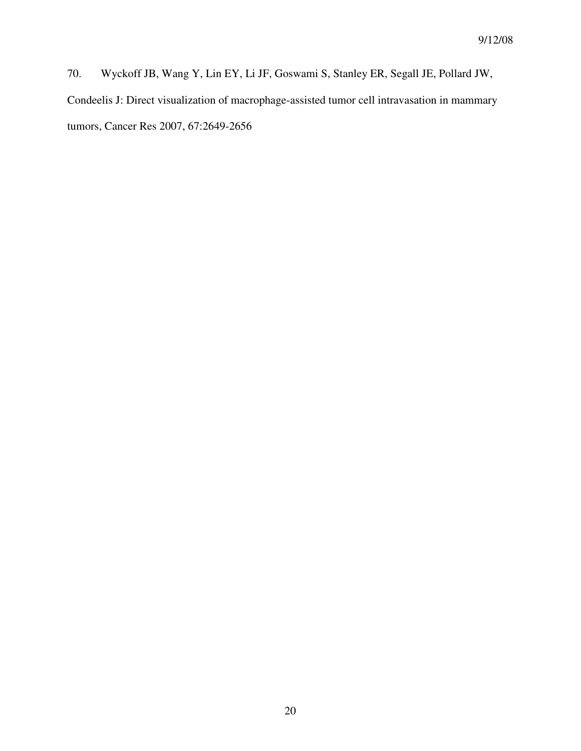70. Wyckoff JB, Wang Y, Lin EY, Li JF, Goswami S, Stanley ER, Segall JE, Pollard JW, Condeelis J: Direct visualization of macrophage-assisted tumor cell intravasation in mammary tumors, Cancer Res 2007, 67:2649-2656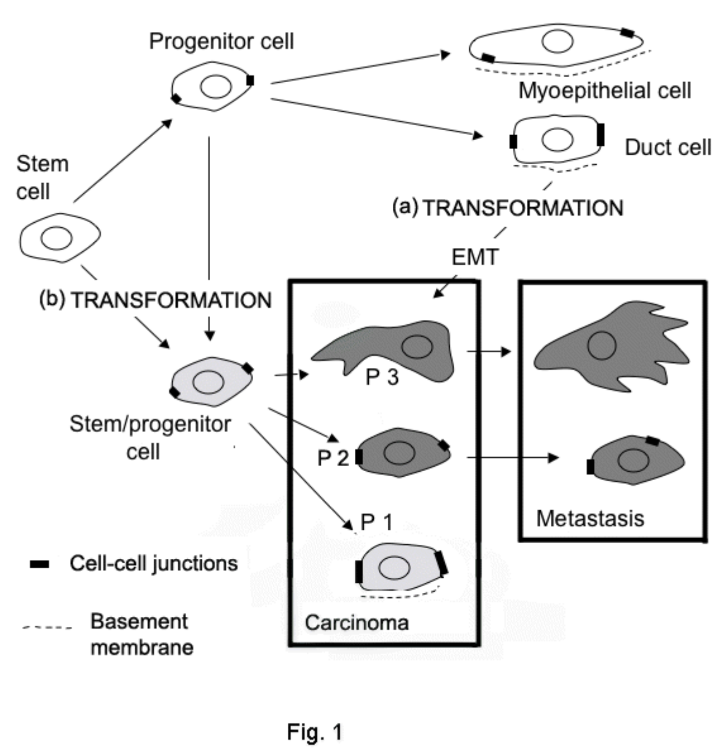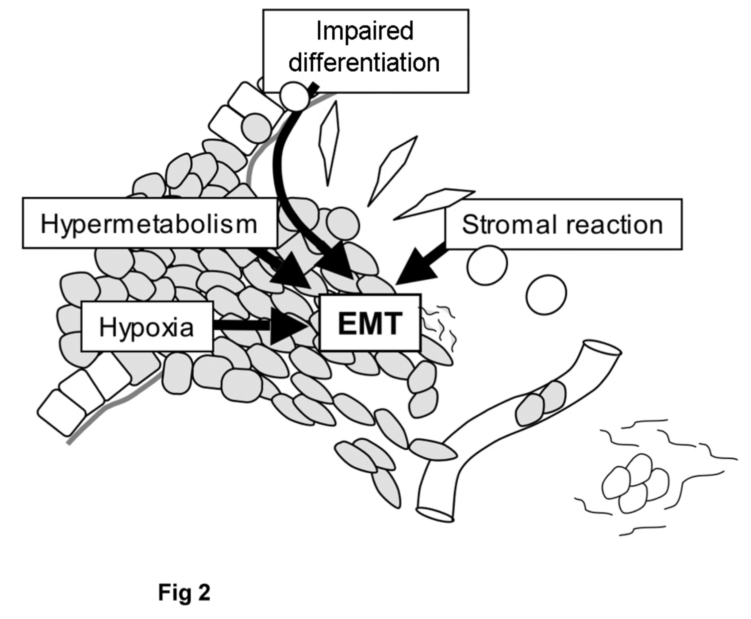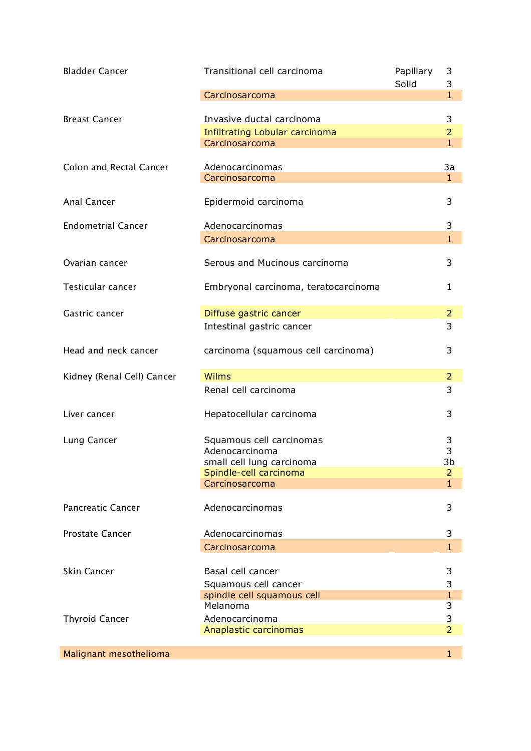| <b>Bladder Cancer</b>          | Transitional cell carcinoma                         | Papillary<br>Solid | 3<br>3                         |
|--------------------------------|-----------------------------------------------------|--------------------|--------------------------------|
|                                | Carcinosarcoma                                      |                    | $\mathbf{1}$                   |
| <b>Breast Cancer</b>           | Invasive ductal carcinoma                           |                    | 3                              |
|                                | Infiltrating Lobular carcinoma<br>Carcinosarcoma    |                    | $\overline{2}$<br>$\mathbf{1}$ |
|                                |                                                     |                    |                                |
| <b>Colon and Rectal Cancer</b> | Adenocarcinomas<br>Carcinosarcoma                   |                    | 3a<br>$\mathbf{1}$             |
|                                |                                                     |                    |                                |
| Anal Cancer                    | Epidermoid carcinoma                                |                    | 3                              |
| <b>Endometrial Cancer</b>      | Adenocarcinomas                                     |                    | 3                              |
|                                | Carcinosarcoma                                      |                    | 1                              |
| Ovarian cancer                 | Serous and Mucinous carcinoma                       |                    | 3                              |
| Testicular cancer              | Embryonal carcinoma, teratocarcinoma                |                    | 1                              |
| Gastric cancer                 | Diffuse gastric cancer                              |                    | $\overline{2}$                 |
|                                | Intestinal gastric cancer                           |                    | 3                              |
| Head and neck cancer           | carcinoma (squamous cell carcinoma)                 |                    | 3                              |
| Kidney (Renal Cell) Cancer     | <b>Wilms</b>                                        |                    | $\overline{2}$                 |
|                                | Renal cell carcinoma                                |                    | 3                              |
| Liver cancer                   | Hepatocellular carcinoma                            |                    | 3                              |
| Lung Cancer                    | Squamous cell carcinomas                            |                    | 3                              |
|                                | Adenocarcinoma                                      |                    | 3<br>3b                        |
|                                | small cell lung carcinoma<br>Spindle-cell carcinoma |                    | $\overline{2}$                 |
|                                | Carcinosarcoma                                      |                    | $\mathbf{1}$                   |
| <b>Pancreatic Cancer</b>       | Adenocarcinomas                                     |                    | 3                              |
| <b>Prostate Cancer</b>         | Adenocarcinomas                                     |                    | 3                              |
|                                | Carcinosarcoma                                      |                    | 1                              |
| Skin Cancer                    | Basal cell cancer                                   |                    | 3                              |
|                                | Squamous cell cancer                                |                    | 3                              |
|                                | spindle cell squamous cell                          |                    | $\mathbf{1}$                   |
|                                | Melanoma                                            |                    | 3                              |
| <b>Thyroid Cancer</b>          | Adenocarcinoma<br>Anaplastic carcinomas             |                    | 3<br>$\overline{2}$            |
|                                |                                                     |                    |                                |
| Malignant mesothelioma         |                                                     |                    | 1                              |